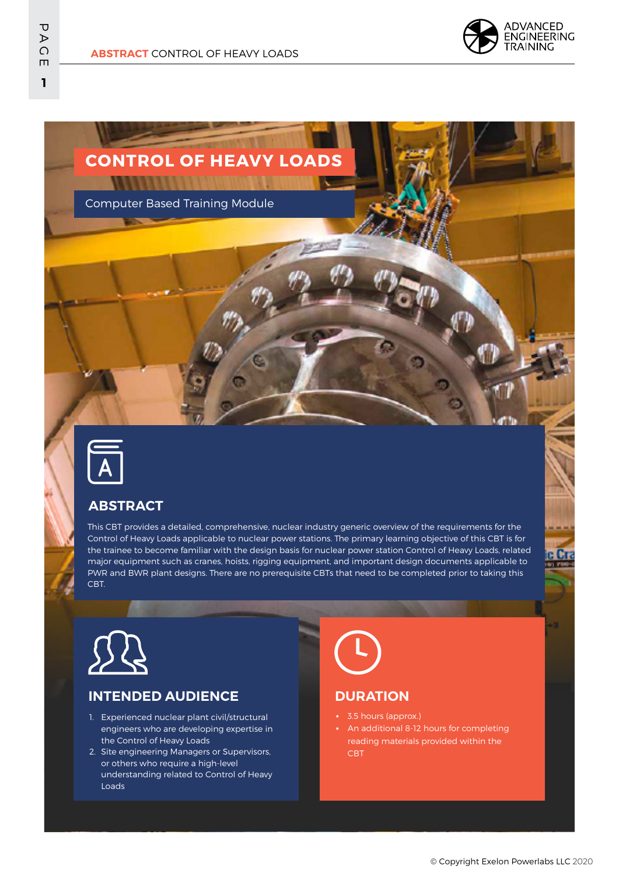

# **CONTROL OF HEAVY LOADS A PER EN EN DIA MONTENARIA DE BAN**

Computer Based Training Module



### **ABSTRACT**

This CBT provides a detailed, comprehensive, nuclear industry generic overview of the requirements for the Control of Heavy Loads applicable to nuclear power stations. The primary learning objective of this CBT is for the trainee to become familiar with the design basis for nuclear power station Control of Heavy Loads, related major equipment such as cranes, hoists, rigging equipment, and important design documents applicable to PWR and BWR plant designs. There are no prerequisite CBTs that need to be completed prior to taking this CBT.



#### **INTENDED AUDIENCE**

- 1. Experienced nuclear plant civil/structural engineers who are developing expertise in the Control of Heavy Loads
- 2. Site engineering Managers or Supervisors, or others who require a high-level understanding related to Control of Heavy Loads

#### **DURATION**

- 3.5 hours (approx.)
- An additional 8-12 hours for completing reading materials provided within the CBT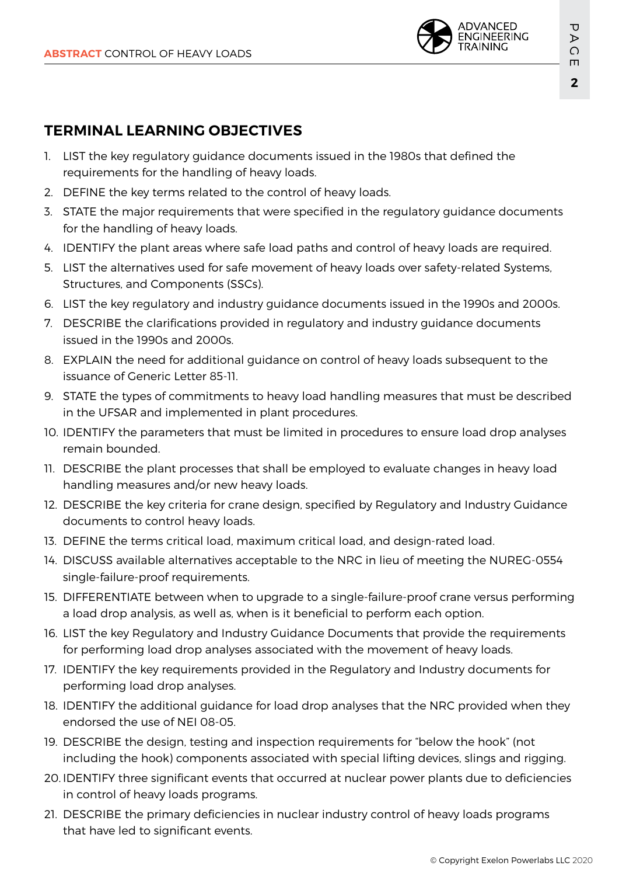

## **TERMINAL LEARNING OBJECTIVES**

- 1. LIST the key regulatory guidance documents issued in the 1980s that defined the requirements for the handling of heavy loads.
- 2. DEFINE the key terms related to the control of heavy loads.
- 3. STATE the major requirements that were specified in the regulatory guidance documents for the handling of heavy loads.
- 4. IDENTIFY the plant areas where safe load paths and control of heavy loads are required.
- 5. LIST the alternatives used for safe movement of heavy loads over safety-related Systems, Structures, and Components (SSCs).
- 6. LIST the key regulatory and industry guidance documents issued in the 1990s and 2000s.
- 7. DESCRIBE the clarifications provided in regulatory and industry guidance documents issued in the 1990s and 2000s.
- 8. EXPLAIN the need for additional guidance on control of heavy loads subsequent to the issuance of Generic Letter 85-11.
- 9. STATE the types of commitments to heavy load handling measures that must be described in the UFSAR and implemented in plant procedures.
- 10. IDENTIFY the parameters that must be limited in procedures to ensure load drop analyses remain bounded.
- 11. DESCRIBE the plant processes that shall be employed to evaluate changes in heavy load handling measures and/or new heavy loads.
- 12. DESCRIBE the key criteria for crane design, specified by Regulatory and Industry Guidance documents to control heavy loads.
- 13. DEFINE the terms critical load, maximum critical load, and design-rated load.
- 14. DISCUSS available alternatives acceptable to the NRC in lieu of meeting the NUREG-0554 single-failure-proof requirements.
- 15. DIFFERENTIATE between when to upgrade to a single-failure-proof crane versus performing a load drop analysis, as well as, when is it beneficial to perform each option.
- 16. LIST the key Regulatory and Industry Guidance Documents that provide the requirements for performing load drop analyses associated with the movement of heavy loads.
- 17. IDENTIFY the key requirements provided in the Regulatory and Industry documents for performing load drop analyses.
- 18. IDENTIFY the additional guidance for load drop analyses that the NRC provided when they endorsed the use of NEI 08-05.
- 19. DESCRIBE the design, testing and inspection requirements for "below the hook" (not including the hook) components associated with special lifting devices, slings and rigging.
- 20. IDENTIFY three significant events that occurred at nuclear power plants due to deficiencies in control of heavy loads programs.
- 21. DESCRIBE the primary deficiencies in nuclear industry control of heavy loads programs that have led to significant events.